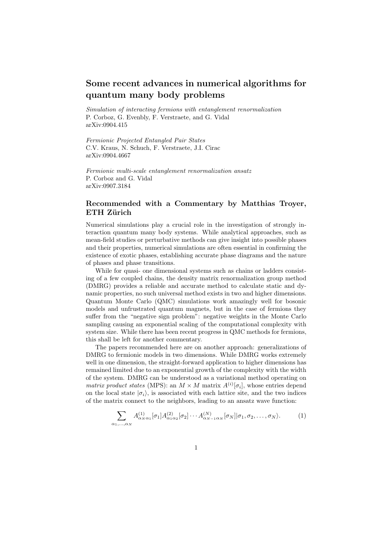## Some recent advances in numerical algorithms for quantum many body problems

*Simulation of interacting fermions with entanglement renormalization* P. Corboz, G. Evenbly, F. Verstraete, and G. Vidal arXiv:0904.415

*Fermionic Projected Entangled Pair States* C.V. Kraus, N. Schuch, F. Verstraete, J.I. Cirac arXiv:0904.4667

*Fermionic multi-scale entanglement renormalization ansatz* P. Corboz and G. Vidal arXiv:0907.3184

## Recommended with a Commentary by Matthias Troyer, ETH Zürich

Numerical simulations play a crucial role in the investigation of strongly interaction quantum many body systems. While analytical approaches, such as mean-field studies or perturbative methods can give insight into possible phases and their properties, numerical simulations are often essential in confirming the existence of exotic phases, establishing accurate phase diagrams and the nature of phases and phase transitions.

While for quasi- one dimensional systems such as chains or ladders consisting of a few coupled chains, the density matrix renormalization group method (DMRG) provides a reliable and accurate method to calculate static and dynamic properties, no such universal method exists in two and higher dimensions. Quantum Monte Carlo (QMC) simulations work amazingly well for bosonic models and unfrustrated quantum magnets, but in the case of fermions they suffer from the "negative sign problem": negative weights in the Monte Carlo sampling causing an exponential scaling of the computational complexity with system size. While there has been recent progress in QMC methods for fermions, this shall be left for another commentary.

The papers recommended here are on another approach: generalizations of DMRG to fermionic models in two dimensions. While DMRG works extremely well in one dimension, the straight-forward application to higher dimensions has remained limited due to an exponential growth of the complexity with the width of the system. DMRG can be understood as a variational method operating on *matrix product states* (MPS): an  $M \times M$  matrix  $A^{(i)}[\sigma_i]$ , whose entries depend on the local state  $|\sigma_i\rangle$ , is associated with each lattice site, and the two indices of the matrix connect to the neighbors, leading to an ansatz wave function:

$$
\sum_{\alpha_1,\ldots,\alpha_N} A^{(1)}_{\alpha_N \alpha_1} [\sigma_1] A^{(2)}_{\alpha_1 \alpha_2} [\sigma_2] \cdots A^{(N)}_{\alpha_{N-1} \alpha_N} [\sigma_N] |\sigma_1, \sigma_2, \ldots, \sigma_N \rangle. \tag{1}
$$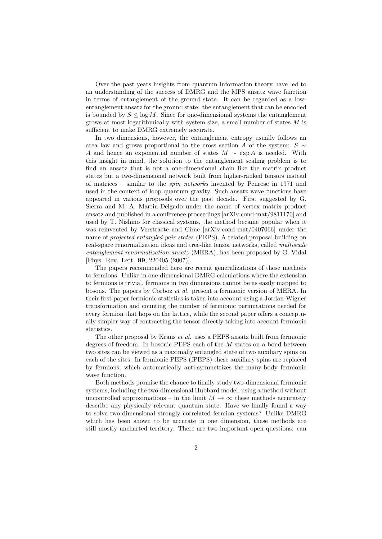Over the past years insights from quantum information theory have led to an understanding of the success of DMRG and the MPS ansatz wave function in terms of entanglement of the ground state. It can be regarded as a lowentanglement ansatz for the ground state: the entanglement that can be encoded is bounded by  $S \leq \log M$ . Since for one-dimensional systems the entanglement grows at most logarithmically with system size, a small number of states  $M$  is sufficient to make DMRG extremely accurate.

In two dimensions, however, the entanglement entropy usually follows an area law and grows proportional to the cross section A of the system:  $S \sim$ A and hence an exponential number of states  $M \sim \exp A$  is needed. With this insight in mind, the solution to the entanglement scaling problem is to find an ansatz that is not a one-dimensional chain like the matrix product states but a two-dimensional network built from higher-ranked tensors instead of matrices – similar to the *spin networks* invented by Penrose in 1971 and used in the context of loop quantum gravity. Such ansatz wave functions have appeared in various proposals over the past decade. First suggested by G. Sierra and M. A. Martin-Delgado under the name of vertex matrix product ansatz and published in a conference proceedings [arXiv:cond-mat/9811170] and used by T. Nishino for classical systems, the method became popular when it was reinvented by Verstraete and Cirac [arXiv:cond-mat/0407066] under the name of *projected entangled-pair states* (PEPS). A related proposal building on real-space renormalization ideas and tree-like tensor networks, called *multiscale entanglement renormalization ansatz* (MERA), has been proposed by G. Vidal [Phys. Rev. Lett. 99, 220405 (2007)].

The papers recommended here are recent generalizations of these methods to fermions. Unlike in one-dimensional DMRG calculations where the extension to fermions is trivial, fermions in two dimensions cannot be as easily mapped to bosons. The papers by Corboz *et al.* present a fermionic version of MERA. In their first paper fermionic statistics is taken into account using a Jordan-Wigner transformation and counting the number of fermionic permutations needed for every fermion that hops on the lattice, while the second paper offers a conceptually simpler way of contracting the tensor directly taking into account fermionic statistics.

The other proposal by Kraus *et al.* uses a PEPS ansatz built from fermionic degrees of freedom. In bosonic PEPS each of the M states on a bond between two sites can be viewed as a maximally entangled state of two auxiliary spins on each of the sites. In fermionic PEPS (fPEPS) these auxiliary spins are replaced by fermions, which automatically anti-symmetrizes the many-body fermionic wave function.

Both methods promise the chance to finally study two-dimensional fermionic systems, including the two-dimensional Hubbard model, using a method without uncontrolled approximations – in the limit  $M \to \infty$  these methods accurately describe any physically relevant quantum state. Have we finally found a way to solve two-dimensional strongly correlated fermion systems? Unlike DMRG which has been shown to be accurate in one dimension, these methods are still mostly uncharted territory. There are two important open questions: can